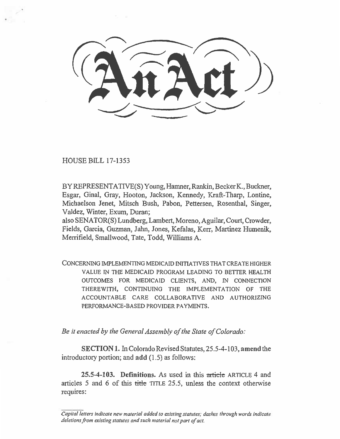$(3\widehat{\mathfrak{n}Z}\widehat{\mathfrak{a}})$ 

HOUSE BILL 17-1353

BY REPRESENTATIVE(S) Young, Hamner, Rankin, Becker K., Buckner, Esgar, Ginal, Gray, Hooton, Jackson, Kennedy, Kraft-Tharp, Lontine, Michaelson Jenet, Mitsch Bush, Pabon, Pettersen, Rosenthal, Singer, Valdez, Winter, Exum, Duran;

also SENATOR(S) Lundberg, Lambert, Moreno, Aguilar, Court, Crowder, Fields, Garcia, Guzman, Jahn, Jones, Kefalas, Kerr, Martinez Humenik, Merrifield, Smallwood, Tate, Todd, Williams A.

CONCERNING IMPLEMENTING MEDICAID INITIATIVES THAT CREATE HIGHER VALUE IN THE MEDICAID PROGRAM LEADING TO BETTER HEALTH OUTCOMES FOR MEDICAID CLIENTS, AND, IN CONNECTION THEREWITH, CONTINUING THE IMPLEMENTATION OF THE ACCOUNTABLE CARE COLLABORATIVE AND AUTHORIZING PERFORMANCE-BASED PROVIDER PAYMENTS.

*Be it enacted by the General Assembly of the State of Colorado:* 

**SECTION I.** In Colorado Revised Statutes, 25.5-4-103, amend the introductory portion; and **add** (1.5) as follows:

**25.5-4-103. Definitions.** As used in this article ARTICLE 4 and articles 5 and 6 of this  $\frac{t}{t}$  the TITLE 25.5, unless the context otherwise requires:

*Capital letters indicate new material added to existing statutes; dashes through words indicate deletions from existing statutes and such material not part of act.*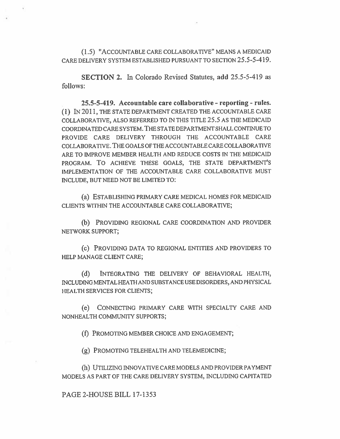(1.5) "ACCOUNTABLE CARE COLLABORATIVE" MEANS A MEDICAID CARE DELIVERY SYSTEM ESTABLISHED PURSUANT TO SECTION 25.5-5-419.

**SECTION 2.** In Colorado Revised Statutes, add 25.5-5-419 as follows:

**25.5-5-419. Accountable care collaborative - reporting - rules.**  (1) IN 2011, THE STATE DEPARTMENT CREATED THE ACCOUNTABLE CARE COLLABORATIVE, ALSO REFERRED TO IN THIS TITLE 25.5 AS THE MEDICAID COORDINATED CARE SYSTEM. THE STATE DEPARTMENT SHALL CONTINUE TO PROVIDE CARE DELIVERY THROUGH THE ACCOUNTABLE CARE COLLABORATIVE. THE GOALS OF THE ACCOUNTABLE CARE COLLABORATIVE ARE TO IMPROVE MEMBER HEALTH AND REDUCE COSTS IN THE MEDICAID PROGRAM. To ACHIEVE THESE GOALS, THE STATE DEPARTMENT'S IMPLEMENTATION OF THE ACCOUNTABLE CARE COLLABORATIVE MUST INCLUDE, BUT NEED NOT BE LIMITED TO:

(a) ESTABLISHING PRIMARY CARE MEDICAL HOMES FOR MEDICAID CLIENTS WITHIN THE ACCOUNTABLE CARE COLLABORATIVE;

(b) PROVIDING REGIONAL CARE COORDINATION AND PROVIDER NETWORK SUPPORT;

(c) PROVIDING DATA TO REGIONAL ENTITIES AND PROVIDERS TO HELP MANAGE CLIENT CARE;

(d) INTEGRATING THE DELIVERY OF BEHAVIORAL HEALTH, INCLUDING MENTAL HEATH AND SUBSTANCE USE DISORDERS, AND PHYSICAL HEALTH SERVICES FOR CLIENTS;

(e) CONNECTING PRIMARY CARE WITH SPECIALTY CARE AND NONHEALTH COMMUNITY SUPPORTS;

(f) PROMOTING MEMBER CHOICE AND ENGAGEMENT;

(g) PROMOTING TELEHEALTH AND TELEMEDICINE;

(h) UTILIZING INNOVATIVE CARE MODELS AND PROVIDER PAYMENT MODELS AS PART OF THE CARE DELIVERY SYSTEM, INCLUDING CAPITATED

PAGE 2-HOUSE BILL 17-1353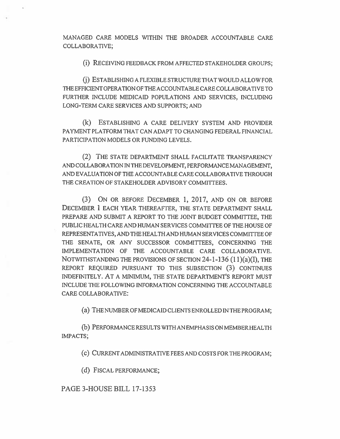MANAGED CARE MODELS WITHIN THE BROADER ACCOUNTABLE CARE COLLABORATIVE;

(i) RECEIVING FEEDBACK FROM AFFECTED STAKEHOLDER GROUPS;

(j) ESTABLISHING A FLEXIBLE STRUCTURE THAT WOULD ALLOW FOR THE EFFICIENT OPERATION OF THE ACCOUNTABLE CARE COLLABORATIVE TO FURTHER INCLUDE MEDICAID POPULATIONS AND SERVICES, INCLUDING LONG-TERM CARE SERVICES AND SUPPORTS; AND

(k) ESTABLISHING A CARE DELIVERY SYSTEM AND PROVIDER PAYMENT PLATFORM THAT CAN ADAPT TO CHANGING FEDERAL FINANCIAL PARTICIPATION MODELS OR FUNDING LEVELS.

**(2) THE** STATE DEPARTMENT SHALL FACILITATE TRANSPARENCY AND COLLABORATION IN THE DEVELOPMENT, PERFORMANCE MANAGEMENT, AND EVALUATION OF THE ACCOUNTABLE CARE COLLABORATIVE THROUGH THE CREATION OF STAKEHOLDER ADVISORY COMMITTEES.

(3) ON OR BEFORE DECEMBER 1, 2017, AND ON OR BEFORE DECEMBER 1 EACH YEAR THEREAFTER, THE STATE DEPARTMENT SHALL PREPARE AND SUBMIT A REPORT TO THE JOINT BUDGET COMMITTEE, THE PUBLIC HEALTH CARE AND HUMAN SERVICES COMMITTEE OF THE HOUSE OF REPRESENTATIVES, AND THE HEALTH AND HUMAN SERVICES COMMITTEE OF THE SENATE, OR ANY SUCCESSOR COMMITTEES, CONCERNING THE IMPLEMENTATION OF THE ACCOUNTABLE CARE COLLABORATIVE. NOTWITHSTANDING THE PROVISIONS OF **SECTION** 24-1-136 (11)(a)(I), THE REPORT REQUIRED PURSUANT TO THIS SUBSECTION (3) CONTINUES INDEFINITELY. AT A MINIMUM, THE STATE DEPARTMENT'S REPORT MUST INCLUDE THE FOLLOWING INFORMATION CONCERNING THE ACCOUNTABLE CARE COLLABORATIVE:

(a) THE NUMBER OF MEDICAID CLIENTS ENROLLED IN THE PROGRAM;

(b) PERFORMANCE RESULTS WITH AN EMPHASIS ON MEMBER HEALTH IMPACTS;

(c) CURRENT ADMINISTRATIVE FEES AND COSTS FOR THE PROGRAM;

(d) FISCAL PERFORMANCE;

PAGE 3-HOUSE BILL 17-1353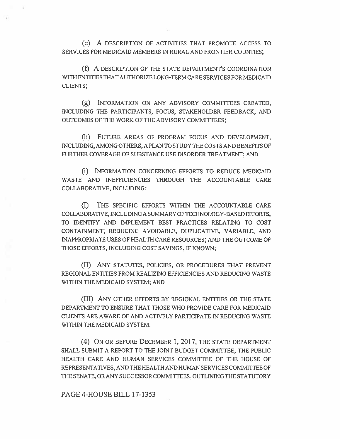(e) A DESCRIPTION OF ACTIVITIES THAT PROMOTE ACCESS TO SERVICES FOR MEDICAID MEMBERS IN RURAL AND FRONTIER COUNTIES;

(f) A DESCRIPTION OF THE STATE DEPARTMENT'S COORDINATION WITH ENTITIES THAT AUTHORIZE LONG-TERM CARE SERVICES FOR MEDICAID CLIENTS;

 $(g)$  INFORMATION ON ANY ADVISORY COMMITTEES CREATED, INCLUDING THE PARTICIPANTS, FOCUS, STAKEHOLDER FEEDBACK, AND OUTCOMES OF THE WORK OF THE ADVISORY COMMITTEES;

(h) FUTURE AREAS OF PROGRAM FOCUS AND DEVELOPMENT, INCLUDING, AMONG OTHERS, A PLAN TO STUDY THE COSTS AND BENEFITS OF FURTHER COVERAGE OF SUBSTANCE USE DISORDER TREATMENT; AND

(i) INFORMATION CONCERNING EFFORTS TO REDUCE MEDICAID WASTE AND INEFFICIENCIES THROUGH THE ACCOUNTABLE CARE COLLABORATIVE, INCLUDING:

(I) THE SPECIFIC EFFORTS WITHIN THE ACCOUNTABLE CARE COLLABORATIVE, INCLUDING A SUMMARY OF TECHNOLOGY-BASED EFFORTS, TO IDENTIFY AND IMPLEMENT BEST PRACTICES RELATING TO COST CONTAINMENT; REDUCING AVOIDABLE, DUPLICATIVE, VARIABLE, AND INAPPROPRIATE USES OF HEALTH CARE RESOURCES; AND THE OUTCOME OF THOSE EFFORTS, INCLUDING COST SAVINGS, IF KNOWN;

(II) ANY STATUTES, POLICIES, OR PROCEDURES THAT PREVENT REGIONAL ENTITIES FROM REALIZING EFFICIENCIES AND REDUCING WASTE WITHIN THE MEDICAID SYSTEM; AND

(III) ANY OTHER EFFORTS BY REGIONAL ENTITIES OR THE STATE DEPARTMENT TO ENSURE THAT THOSE WHO PROVIDE CARE FOR MEDICAID CLIENTS ARE AWARE OF AND ACTIVELY PARTICIPATE IN REDUCING WASTE WITHIN THE MEDICAID SYSTEM.

(4) ON OR BEFORE DECEMBER 1, 2017, THE STATE DEPARTMENT SHALL SUBMIT A REPORT TO THE JOINT BUDGET COMMITTEE, THE PUBLIC HEALTH CARE AND HUMAN SERVICES COMMITTEE OF THE HOUSE OF REPRESENTATIVES, AND THE HEALTH AND HUMAN SERVICES COMMITTEE OF THE SENATE, **OR** ANY SUCCESSOR COMMITTEES, OUTLINING THE STATUTORY

PAGE 4-HOUSE BILL 17-1353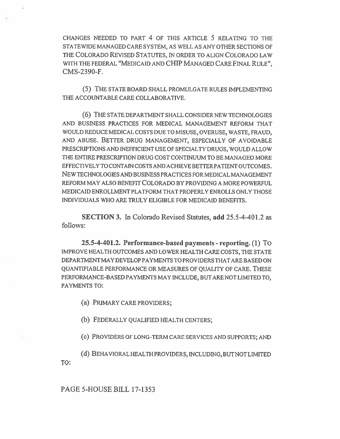CHANGES NEEDED TO PART 4 OF THIS ARTICLE 5 RELATING TO THE STATEWIDE MANAGED CARE SYSTEM, AS WELL AS ANY OTHER SECTIONS OF THE COLORADO REVISED STATUTES, IN ORDER TO ALIGN COLORADO LAW WITH THE FEDERAL "MEDICAID AND CHIP MANAGED CARE FINAL RULE", CMS-2390-F.

(5) THE STATE BOARD SHALL PROMULGATE RULES IMPLEMENTING THE ACCOUNTABLE CARE COLLABORATIVE.

(6) THE STATE DEPARTMENT SHALL CONSIDER NEW TECHNOLOGIES AND BUSINESS PRACTICES FOR MEDICAL MANAGEMENT REFORM THAT WOULD REDUCE MEDICAL COSTS DUE TO MISUSE, OVERUSE, WASTE, FRAUD, AND ABUSE. BETTER DRUG MANAGEMENT, ESPECIALLY OF AVOIDABLE PRESCRIPTIONS AND INEFFICIENT USE OF SPECIALTY DRUGS, WOULD ALLOW THE ENTIRE PRESCRIPTION DRUG COST CONTINUUM TO BE MANAGED MORE EFFECTIVELY TO CONTAIN COSTS AND ACHIEVE BETTER PATIENT OUTCOMES. NEW TECHNOLOGIES AND BUSINESS PRACTICES FOR MEDICAL MANAGEMENT REFORM MAY ALSO BENEFIT COLORADO BY PROVIDING A MORE POWERFUL MEDICAID ENROLLMENT PLATFORM THAT PROPERLY ENROLLS ONLY THOSE INDIVIDUALS WHO ARE TRULY ELIGIBLE FOR MEDICAID BENEFITS.

SECTION 3. In Colorado Revised Statutes, add 25.5-4-401.2 as follows:

25.5-4-401.2. Performance-based payments - reporting. (1) TO IMPROVE HEALTH OUTCOMES AND LOWER HEALTH CARE COSTS, THE STATE DEPARTMENT MAY DEVELOP PAYMENTS TO PROVIDERS THAT ARE BASED ON QUANTIFIABLE PERFORMANCE OR MEASURES OF QUALITY OF CARE. THESE PERFORMANCE-BASED PAYMENTS MAY INCLUDE, BUT ARE NOT LIMITED TO, PAYMENTS TO:

(a) PRIMARY CARE PROVIDERS;

(b) FEDERALLY QUALIFIED HEALTH CENTERS;

(c) PROVIDERS OF LONG-TERM CARE SERVICES AND SUPPORTS; AND

(d) BEHAVIORAL HEALTH PROVIDERS, INCLUDING, BUTNOT LIMITED TO:

PAGE 5-HOUSE BILL 17-1353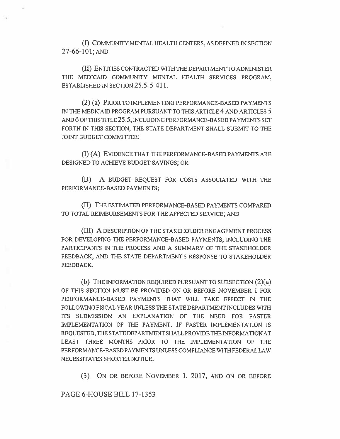(I) COMMUNITY MENTAL HEALTH CENTERS, AS DEFINED IN SECTION 27-66-101, AND

(II) ENTITIES CONTRACTED WITH THE DEPARTMENT TO ADMINISTER THE MEDICAID COMMUNITY MENTAL HEALTH SERVICES PROGRAM, ESTABLISHED IN SECTION 25.5-5-411.

(2) (a) PRIOR TO IMPLEMENTING PERFORMANCE-BASED PAYMENTS IN THE MEDICAID PROGRAM PURSUANT TO THIS ARTICLE 4 AND ARTICLES 5 AND 6 OF THIS TITLE 25.5, INCLUDING PERFORMANCE-BASED PAYMENTS SET FORTH IN THIS SECTION, THE STATE DEPARTMENT SHALL SUBMIT TO THE JOINT BUDGET COMMITTEE:

(I) (A) EVIDENCE THAT THE PERFORMANCE-BASED PAYMENTS ARE DESIGNED TO ACHIEVE BUDGET SAVINGS; OR

(B) A BUDGET REQUEST FOR COSTS ASSOCIATED WITH THE PERFORMANCE-BASED PAYMENTS;

(II) THE ESTIMATED PERFORMANCE-BASED PAYMENTS COMPARED TO TOTAL REIMBURSEMENTS FOR THE AFFECTED SERVICE; AND

(III) A DESCRIPTION OF THE STAKEHOLDER ENGAGEMENT PROCESS FOR DEVELOPING THE PERFORMANCE-BASED PAYMENTS, INCLUDING THE PARTICIPANTS IN THE PROCESS AND A SUMMARY OF THE STAKEHOLDER FEEDBACK, AND THE STATE DEPARTMENT'S RESPONSE TO STAKEHOLDER FEEDBACK.

(b) THE INFORMATION REQUIRED PURSUANT TO SUBSECTION (2)(a) OF THIS SECTION MUST BE PROVIDED ON OR BEFORE NOVEMBER 1 FOR PERFORMANCE-BASED PAYMENTS THAT WILL TAKE EFFECT IN THE FOLLOWING FISCAL YEAR UNLESS THE STATE DEPARTMENT INCLUDES WITH ITS SUBMISSION AN EXPLANATION OF THE NEED FOR FASTER IMPLEMENTATION OF THE PAYMENT. IF FASTER IMPLEMENTATION IS REQUESTED, THE STATE DEPARTMENT SHALL PROVIDE THE INFORMATION AT LEAST THREE MONTHS PRIOR TO THE IMPLEMENTATION OF THE PERFORMANCE-BASED PAYMENTS UNLESS COMPLIANCE WITH FEDERAL LAW NECESSITATES SHORTER NOTICE.

(3) ON OR BEFORE NOVEMBER 1, 2017, AND ON OR BEFORE

PAGE 6-HOUSE BILL 17-1353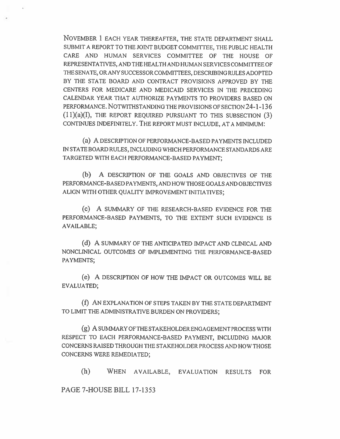NOVEMBER 1 EACH YEAR THEREAFTER, THE STATE DEPARTMENT SHALL SUBMIT A REPORT TO THE JOINT BUDGET COMMITTEE, THE PUBLIC HEALTH CARE AND HUMAN SERVICES COMMITTEE OF THE HOUSE OF REPRESENTATIVES, AND THE HEALTH AND HUMAN SERVICES COMMITTEE OF THE SENATE, OR ANY SUCCESSOR COMMITTEES, DESCRIBING RULES ADOPTED BY THE STATE BOARD AND CONTRACT PROVISIONS APPROVED BY THE CENTERS FOR MEDICARE AND MEDICAID SERVICES IN THE PRECEDING CALENDAR YEAR THAT AUTHORIZE PAYMENTS TO PROVIDERS BASED ON PERFORMANCE. NOTWITHSTANDING THE PROVISIONS OF SECTION 24-1-136 (11)(a)(I), THE REPORT REQUIRED PURSUANT TO THIS SUBSECTION (3) CONTINUES INDEFINITELY. THE REPORT MUST INCLUDE, AT A MINIMUM:

(a) A DESCRIPTION OF PERFORMANCE-BASED PAYMENTS INCLUDED IN STATE BOARD RULES, INCLUDING WHICH PERFORMANCE STANDARDS ARE TARGETED WITH EACH PERFORMANCE-BASED PAYMENT;

(b) A DESCRIPTION OF THE GOALS AND OBJECTIVES OF THE PERFORMANCE-BASED PAYMENTS, AND HOW THOSE GOALS AND OBJECTIVES ALIGN WITH OTHER QUALITY IMPROVEMENT INITIATIVES;

(c) A SUMMARY OF THE RESEARCH-BASED EVIDENCE FOR THE PERFORMANCE-BASED PAYMENTS, TO THE EXTENT SUCH EVIDENCE IS AVAILABLE;

(d) A SUMMARY OF THE ANTICIPATED IMPACT AND CLINICAL AND NONCLINICAL OUTCOMES OF IMPLEMENTING THE PERFORMANCE-BASED PAYMENTS;

(e) A DESCRIPTION OF HOW THE IMPACT OR OUTCOMES WILL BE EVALUATED;

(f) AN EXPLANATION OF STEPS TAKEN BY THE STATE DEPARTMENT TO LIMIT THE ADMINISTRATIVE BURDEN ON PROVIDERS;

(g) A SUMMARY OF THE STAKEHOLDER ENGAGEMENT PROCESS WITH RESPECT TO EACH PERFORMANCE-BASED PAYMENT, INCLUDING MAJOR CONCERNS RAISED THROUGH THE STAKEHOLDER PROCESS AND HOW THOSE CONCERNS WERE REMEDIATED;

(h) WHEN AVAILABLE, EVALUATION RESULTS FOR

PAGE 7-HOUSE BILL 17-1353